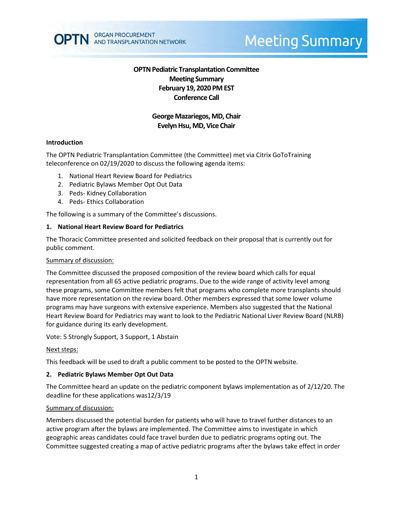

# **Meeting Summary**

# **OPTN Pediatric Transplantation Committee Meeting Summary February 19, 2020 PM EST Conference Call**

# **George Mazariegos, MD, Chair Evelyn Hsu, MD, Vice Chair**

#### **Introduction**

The OPTN Pediatric Transplantation Committee (the Committee) met via Citrix GoToTraining teleconference on 02/19/2020 to discuss the following agenda items:

- 1. National Heart Review Board for Pediatrics
- 2. Pediatric Bylaws Member Opt Out Data
- 3. Peds- Kidney Collaboration
- 4. Peds- Ethics Collaboration

The following is a summary of the Committee's discussions.

#### **1. National Heart Review Board for Pediatrics**

The Thoracic Committee presented and solicited feedback on their proposal that is currently out for public comment.

#### Summary of discussion:

The Committee discussed the proposed composition of the review board which calls for equal representation from all 65 active pediatric programs. Due to the wide range of activity level among these programs, some Committee members felt that programs who complete more transplants should have more representation on the review board. Other members expressed that some lower volume programs may have surgeons with extensive experience. Members also suggested that the National Heart Review Board for Pediatrics may want to look to the Pediatric National Liver Review Board (NLRB) for guidance during its early development.

Vote: 5 Strongly Support, 3 Support, 1 Abstain

#### Next steps:

This feedback will be used to draft a public comment to be posted to the OPTN website.

### **2. Pediatric Bylaws Member Opt Out Data**

The Committee heard an update on the pediatric component bylaws implementation as of 2/12/20. The deadline for these applications was12/3/19

#### Summary of discussion:

Members discussed the potential burden for patients who will have to travel further distances to an active program after the bylaws are implemented. The Committee aims to investigate in which geographic areas candidates could face travel burden due to pediatric programs opting out. The Committee suggested creating a map of active pediatric programs after the bylaws take effect in order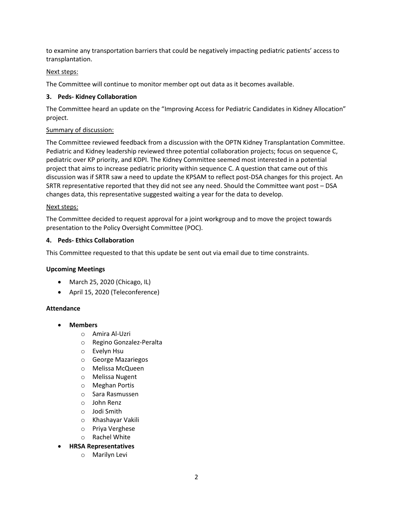to examine any transportation barriers that could be negatively impacting pediatric patients' access to transplantation.

## Next steps:

The Committee will continue to monitor member opt out data as it becomes available.

## **3. Peds- Kidney Collaboration**

The Committee heard an update on the "Improving Access for Pediatric Candidates in Kidney Allocation" project.

## Summary of discussion:

The Committee reviewed feedback from a discussion with the OPTN Kidney Transplantation Committee. Pediatric and Kidney leadership reviewed three potential collaboration projects; focus on sequence C, pediatric over KP priority, and KDPI. The Kidney Committee seemed most interested in a potential project that aims to increase pediatric priority within sequence C. A question that came out of this discussion was if SRTR saw a need to update the KPSAM to reflect post-DSA changes for this project. An SRTR representative reported that they did not see any need. Should the Committee want post – DSA changes data, this representative suggested waiting a year for the data to develop.

### Next steps:

The Committee decided to request approval for a joint workgroup and to move the project towards presentation to the Policy Oversight Committee (POC).

## **4. Peds- Ethics Collaboration**

This Committee requested to that this update be sent out via email due to time constraints.

### **Upcoming Meetings**

- March 25, 2020 (Chicago, IL)
- April 15, 2020 (Teleconference)

### **Attendance**

- **Members**
	- o Amira Al-Uzri
	- o Regino Gonzalez-Peralta
	- o Evelyn Hsu
	- o George Mazariegos
	- o Melissa McQueen
	- o Melissa Nugent
	- o Meghan Portis
	- o Sara Rasmussen
	- o John Renz
	- o Jodi Smith
	- o Khashayar Vakili
	- o Priya Verghese
	- o Rachel White
- **HRSA Representatives**
	- o Marilyn Levi